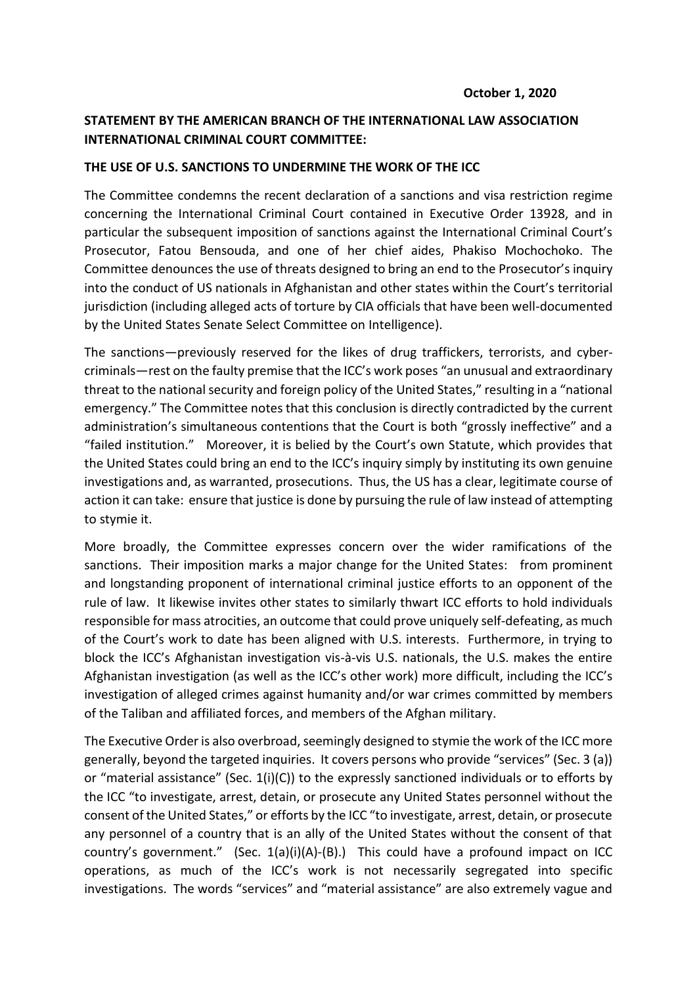## **STATEMENT BY THE AMERICAN BRANCH OF THE INTERNATIONAL LAW ASSOCIATION INTERNATIONAL CRIMINAL COURT COMMITTEE:**

## **THE USE OF U.S. SANCTIONS TO UNDERMINE THE WORK OF THE ICC**

The Committee condemns the recent declaration of a sanctions and visa restriction regime concerning the International Criminal Court contained in Executive Order 13928, and in particular the subsequent imposition of sanctions against the International Criminal Court's Prosecutor, Fatou Bensouda, and one of her chief aides, Phakiso Mochochoko. The Committee denounces the use of threats designed to bring an end to the Prosecutor's inquiry into the conduct of US nationals in Afghanistan and other states within the Court's territorial jurisdiction (including alleged acts of torture by CIA officials that have been well-documented by the United States Senate Select Committee on Intelligence).

The sanctions—previously reserved for the likes of drug traffickers, terrorists, and cybercriminals—rest on the faulty premise that the ICC's work poses "an unusual and extraordinary threat to the national security and foreign policy of the United States," resulting in a "national emergency." The Committee notes that this conclusion is directly contradicted by the current administration's simultaneous contentions that the Court is both "grossly ineffective" and a "failed institution." Moreover, it is belied by the Court's own Statute, which provides that the United States could bring an end to the ICC's inquiry simply by instituting its own genuine investigations and, as warranted, prosecutions. Thus, the US has a clear, legitimate course of action it can take: ensure that justice is done by pursuing the rule of law instead of attempting to stymie it.

More broadly, the Committee expresses concern over the wider ramifications of the sanctions. Their imposition marks a major change for the United States: from prominent and longstanding proponent of international criminal justice efforts to an opponent of the rule of law. It likewise invites other states to similarly thwart ICC efforts to hold individuals responsible for mass atrocities, an outcome that could prove uniquely self-defeating, as much of the Court's work to date has been aligned with U.S. interests. Furthermore, in trying to block the ICC's Afghanistan investigation vis-à-vis U.S. nationals, the U.S. makes the entire Afghanistan investigation (as well as the ICC's other work) more difficult, including the ICC's investigation of alleged crimes against humanity and/or war crimes committed by members of the Taliban and affiliated forces, and members of the Afghan military.

The Executive Order is also overbroad, seemingly designed to stymie the work of the ICC more generally, beyond the targeted inquiries. It covers persons who provide "services" (Sec. 3 (a)) or "material assistance" (Sec. 1(i)(C)) to the expressly sanctioned individuals or to efforts by the ICC "to investigate, arrest, detain, or prosecute any United States personnel without the consent of the United States," or efforts by the ICC "to investigate, arrest, detain, or prosecute any personnel of a country that is an ally of the United States without the consent of that country's government." (Sec. 1(a)(i)(A)-(B).) This could have a profound impact on ICC operations, as much of the ICC's work is not necessarily segregated into specific investigations. The words "services" and "material assistance" are also extremely vague and